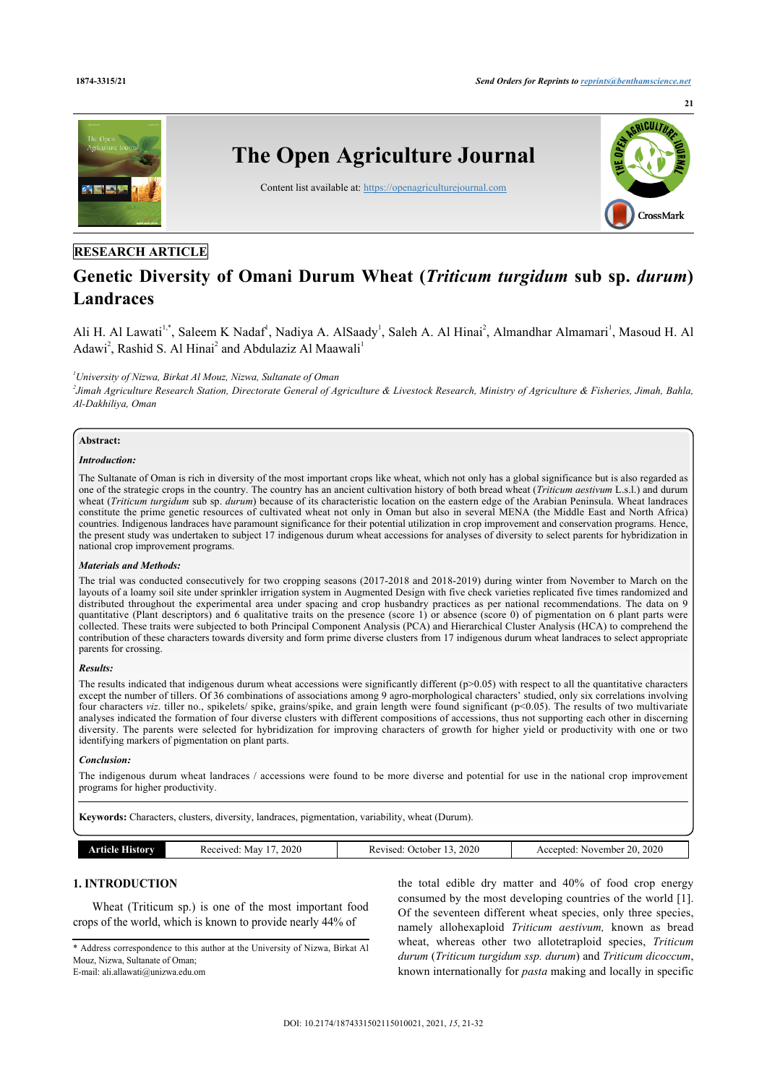

# **RESEARCH ARTICLE**

# **Genetic Diversity of Omani Durum Wheat (***Triticum turgidum* **sub sp.** *durum***) Landraces**

Ali H. Al Lawati<sup>[1](#page-0-0)[,\\*](#page-0-1)</sup>, Saleem K Nadaf<sup>1</sup>, Nadiya A. AlSaady<sup>1</sup>, Saleh A. Al Hinai<sup>[2](#page-0-2)</sup>, Almandhar Almamari<sup>1</sup>, Masoud H. Al Adawi<sup>[2](#page-0-2)</sup>, Rashid S. Al Hinai<sup>2</sup> and Abdulaziz Al Maawali<sup>[1](#page-0-0)</sup>

<span id="page-0-0"></span>*<sup>1</sup>University of Nizwa, Birkat Al Mouz, Nizwa, Sultanate of Oman*

<span id="page-0-2"></span>*2 Jimah Agriculture Research Station, Directorate General of Agriculture & Livestock Research, Ministry of Agriculture & Fisheries, Jimah, Bahla, Al-Dakhiliya, Oman*

#### **Abstract:**

#### *Introduction:*

The Sultanate of Oman is rich in diversity of the most important crops like wheat, which not only has a global significance but is also regarded as one of the strategic crops in the country. The country has an ancient cultivation history of both bread wheat (*Triticum aestivum* L.s.l.) and durum wheat (*Triticum turgidum* sub sp. *durum*) because of its characteristic location on the eastern edge of the Arabian Peninsula. Wheat landraces constitute the prime genetic resources of cultivated wheat not only in Oman but also in several MENA (the Middle East and North Africa) countries. Indigenous landraces have paramount significance for their potential utilization in crop improvement and conservation programs. Hence, the present study was undertaken to subject 17 indigenous durum wheat accessions for analyses of diversity to select parents for hybridization in national crop improvement programs.

#### *Materials and Methods:*

The trial was conducted consecutively for two cropping seasons (2017-2018 and 2018-2019) during winter from November to March on the layouts of a loamy soil site under sprinkler irrigation system in Augmented Design with five check varieties replicated five times randomized and distributed throughout the experimental area under spacing and crop husbandry practices as per national recommendations. The data on 9 quantitative (Plant descriptors) and 6 qualitative traits on the presence (score 1) or absence (score 0) of pigmentation on 6 plant parts were collected. These traits were subjected to both Principal Component Analysis (PCA) and Hierarchical Cluster Analysis (HCA) to comprehend the contribution of these characters towards diversity and form prime diverse clusters from 17 indigenous durum wheat landraces to select appropriate parents for crossing.

### *Results:*

The results indicated that indigenous durum wheat accessions were significantly different  $(p>0.05)$  with respect to all the quantitative characters except the number of tillers. Of 36 combinations of associations among 9 agro-morphological characters' studied, only six correlations involving four characters *viz*. tiller no., spikelets/ spike, grains/spike, and grain length were found significant (p<0.05). The results of two multivariate analyses indicated the formation of four diverse clusters with different compositions of accessions, thus not supporting each other in discerning diversity. The parents were selected for hybridization for improving characters of growth for higher yield or productivity with one or two identifying markers of pigmentation on plant parts.

#### *Conclusion:*

The indigenous durum wheat landraces / accessions were found to be more diverse and potential for use in the national crop improvement programs for higher productivity.

**Keywords:** Characters, clusters, diversity, landraces, pigmentation, variability, wheat (Durum).

| History<br>теір | 2020<br>Received:<br>May | 2020<br>October.<br>evised<br>_____ | 2020<br>20<br>November<br>Accented<br>AC |
|-----------------|--------------------------|-------------------------------------|------------------------------------------|

# **1. INTRODUCTION**

Wheat (Triticum sp.) is one of the most important food crops of the world, which is known to provide nearly 44% of

<span id="page-0-1"></span>\* Address correspondence to this author at the University of Nizwa, Birkat Al Mouz, Nizwa, Sultanate of Oman; E-mail: [ali.allawati@unizwa.edu.om](mailto:ali.allawati@unizwa.edu.om)

the total edible dry matter and 40% of food crop energy consumed by the most developing countries of the world [[1](#page-9-0)]. Of the seventeen different wheat species, only three species, namely allohexaploid *Triticum aestivum,* known as bread wheat, whereas other two allotetraploid species, *Triticum durum* (*Triticum turgidum ssp. durum*) and *Triticum dicoccum*, known internationally for *pasta* making and locally in specific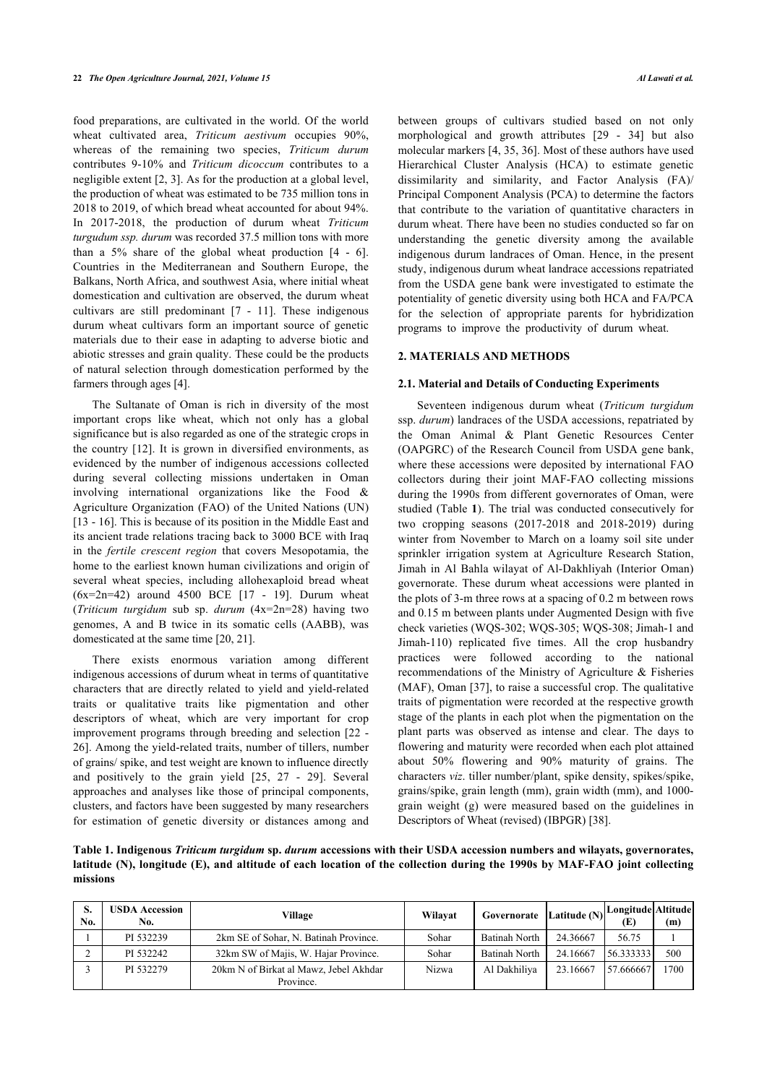food preparations, are cultivated in the world. Of the world wheat cultivated area, *Triticum aestivum* occupies 90%, whereas of the remaining two species, *Triticum durum* contributes 9-10% and *Triticum dicoccum* contributes to a negligible extent [\[2,](#page-9-1) [3](#page-9-2)]. As for the production at a global level, the production of wheat was estimated to be 735 million tons in 2018 to 2019, of which bread wheat accounted for about 94%. In 2017-2018, the production of durum wheat *Triticum turgudum ssp. durum* was recorded 37.5 million tons with more than a 5% share of the global wheat production[[4](#page-9-3) - [6\]](#page-9-4). Countries in the Mediterranean and Southern Europe, the Balkans, North Africa, and southwest Asia, where initial wheat domestication and cultivation are observed, the durum wheat cultivars are still predominant[[7](#page-9-5) - [11\]](#page-9-6). These indigenous durum wheat cultivars form an important source of genetic materials due to their ease in adapting to adverse biotic and abiotic stresses and grain quality. These could be the products of natural selection through domestication performed by the farmers through ages [[4](#page-9-3)].

The Sultanate of Oman is rich in diversity of the most important crops like wheat, which not only has a global significance but is also regarded as one of the strategic crops in the country [[12](#page-9-7)]. It is grown in diversified environments, as evidenced by the number of indigenous accessions collected during several collecting missions undertaken in Oman involving international organizations like the Food & Agriculture Organization (FAO) of the United Nations (UN) [[13](#page-9-8) - [16\]](#page-9-9). This is because of its position in the Middle East and its ancient trade relations tracing back to 3000 BCE with Iraq in the *fertile crescent region* that covers Mesopotamia, the home to the earliest known human civilizations and origin of several wheat species, including allohexaploid bread wheat  $(6x=2n=42)$ around 4500 BCE [[17](#page-9-10) - [19\]](#page-9-11). Durum wheat (*Triticum turgidum* sub sp. *durum* (4x=2n=28) having two genomes, A and B twice in its somatic cells (AABB), was domesticated at the same time [\[20](#page-9-12), [21\]](#page-9-13).

There exists enormous variation among different indigenous accessions of durum wheat in terms of quantitative characters that are directly related to yield and yield-related traits or qualitative traits like pigmentation and other descriptors of wheat, which are very important for crop improvement programs through breeding and selection [[22](#page-9-14) - [26\]](#page-9-15). Among the yield-related traits, number of tillers, number of grains/ spike, and test weight are known to influence directly and positively to the grain yield [\[25,](#page-9-16) [27](#page-9-17) - [29\]](#page-10-0). Several approaches and analyses like those of principal components, clusters, and factors have been suggested by many researchers for estimation of genetic diversity or distances among and

between groups of cultivars studied based on not only morphological and growth attributes[[29](#page-10-0) - [34\]](#page-10-1) but also molecular markers [\[4,](#page-9-3) [35](#page-10-2), [36](#page-10-3)]. Most of these authors have used Hierarchical Cluster Analysis (HCA) to estimate genetic dissimilarity and similarity, and Factor Analysis (FA)/ Principal Component Analysis (PCA) to determine the factors that contribute to the variation of quantitative characters in durum wheat. There have been no studies conducted so far on understanding the genetic diversity among the available indigenous durum landraces of Oman. Hence, in the present study, indigenous durum wheat landrace accessions repatriated from the USDA gene bank were investigated to estimate the potentiality of genetic diversity using both HCA and FA/PCA for the selection of appropriate parents for hybridization programs to improve the productivity of durum wheat.

#### **2. MATERIALS AND METHODS**

#### **2.1. Material and Details of Conducting Experiments**

Seventeen indigenous durum wheat (*Triticum turgidum* ssp. *durum*) landraces of the USDA accessions, repatriated by the Oman Animal & Plant Genetic Resources Center (OAPGRC) of the Research Council from USDA gene bank, where these accessions were deposited by international FAO collectors during their joint MAF-FAO collecting missions during the 1990s from different governorates of Oman, were studied (Table **[1](#page-1-0)**). The trial was conducted consecutively for two cropping seasons (2017-2018 and 2018-2019) during winter from November to March on a loamy soil site under sprinkler irrigation system at Agriculture Research Station, Jimah in Al Bahla wilayat of Al-Dakhliyah (Interior Oman) governorate. These durum wheat accessions were planted in the plots of 3-m three rows at a spacing of 0.2 m between rows and 0.15 m between plants under Augmented Design with five check varieties (WQS-302; WQS-305; WQS-308; Jimah-1 and Jimah-110) replicated five times. All the crop husbandry practices were followed according to the national recommendatio[ns](#page-10-4) of the Ministry of Agriculture & Fisheries (MAF), Oman [37], to raise a successful crop. The qualitative traits of pigmentation were recorded at the respective growth stage of the plants in each plot when the pigmentation on the plant parts was observed as intense and clear. The days to flowering and maturity were recorded when each plot attained about 50% flowering and 90% maturity of grains. The characters *viz*. tiller number/plant, spike density, spikes/spike, grains/spike, grain length (mm), grain width (mm), and 1000 grain weight (g) were measured based [on](#page-10-5) the guidelines in Descriptors of Wheat (revised) (IBPGR) [38].

<span id="page-1-0"></span>**Table 1. Indigenous** *Triticum turgidum* **sp.** *durum* **accessions with their USDA accession numbers and wilayats, governorates, latitude (N), longitude (E), and altitude of each location of the collection during the 1990s by MAF-FAO joint collecting missions**

| S.<br>No. | USDA Accession<br>No. | Village                                             | Wilavat | Governorate Latitude (N) |          | Longitude Altitude<br>(E) | (m)  |
|-----------|-----------------------|-----------------------------------------------------|---------|--------------------------|----------|---------------------------|------|
|           | PI 532239             | 2km SE of Sohar, N. Batinah Province.               | Sohar   | <b>Batinah North</b>     | 24.36667 | 56.75                     |      |
|           | PI 532242             | 32km SW of Majis, W. Hajar Province.                | Sohar   | <b>Batinah North</b>     | 24.16667 | 56.333333                 | 500  |
|           | PI 532279             | 20km N of Birkat al Mawz, Jebel Akhdar<br>Province. | Nizwa   | Al Dakhiliya             | 23.16667 | 57.666667                 | 1700 |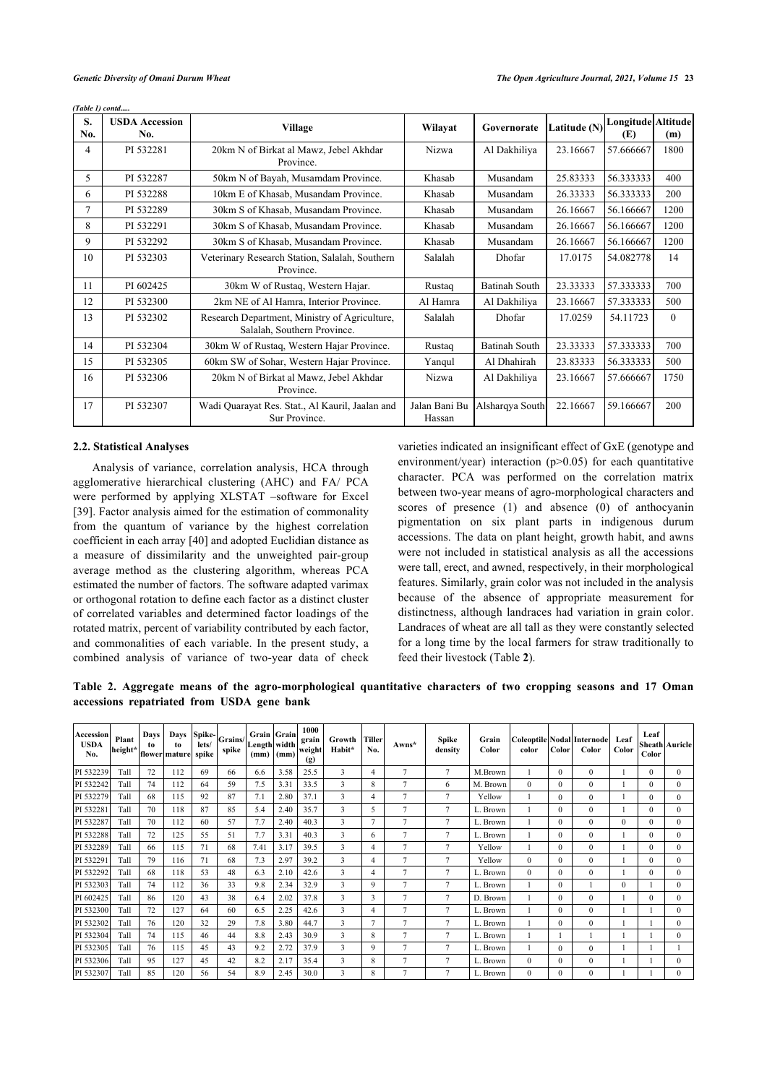|  | (Table 1) contd |
|--|-----------------|
|  |                 |

| S.<br>No. | <b>USDA</b> Accession<br>No. | <b>Village</b>                                                               | Wilayat                 | Governorate          | Latitude (N) | Longitude Altitude<br>(E) | (m)      |
|-----------|------------------------------|------------------------------------------------------------------------------|-------------------------|----------------------|--------------|---------------------------|----------|
| 4         | PI 532281                    | 20km N of Birkat al Mawz, Jebel Akhdar<br>Province.                          | <b>Nizwa</b>            | Al Dakhiliya         | 23.16667     | 57.666667                 | 1800     |
| 5         | PI 532287                    | 50km N of Bayah, Musamdam Province.                                          | Khasab                  | Musandam             | 25.83333     | 56.333333                 | 400      |
| 6         | PI 532288                    | 10km E of Khasab, Musandam Province.                                         | Khasab                  | Musandam             | 26.33333     | 56.333333                 | 200      |
| 7         | PI 532289                    | 30km S of Khasab, Musandam Province.                                         | Khasab                  | Musandam             | 26.16667     | 56.166667                 | 1200     |
| 8         | PI 532291                    | 30km S of Khasab, Musandam Province.                                         | Khasab                  | Musandam             | 26.16667     | 56.166667                 | 1200     |
| 9         | PI 532292                    | 30km S of Khasab, Musandam Province.                                         | Khasab                  | Musandam             | 26.16667     | 56.166667                 | 1200     |
| 10        | PI 532303                    | Veterinary Research Station, Salalah, Southern<br>Province.                  | Salalah                 | Dhofar               | 17.0175      | 54.082778                 | 14       |
| 11        | PI 602425                    | 30km W of Rustaq, Western Hajar.                                             | Rustaq                  | <b>Batinah South</b> | 23.33333     | 57.333333                 | 700      |
| 12        | PI 532300                    | 2km NE of Al Hamra, Interior Province.                                       | Al Hamra                | Al Dakhiliya         | 23.16667     | 57.333333                 | 500      |
| 13        | PI 532302                    | Research Department, Ministry of Agriculture,<br>Salalah, Southern Province. | Salalah                 | Dhofar               | 17.0259      | 54.11723                  | $\theta$ |
| 14        | PI 532304                    | 30km W of Rustaq, Western Hajar Province.                                    | Rustaq                  | <b>Batinah South</b> | 23.33333     | 57.333333                 | 700      |
| 15        | PI 532305                    | 60km SW of Sohar, Western Hajar Province.                                    | Yanqul                  | Al Dhahirah          | 23.83333     | 56.333333                 | 500      |
| 16        | PI 532306                    | 20km N of Birkat al Mawz, Jebel Akhdar<br>Province.                          | <b>Nizwa</b>            | Al Dakhiliya         | 23.16667     | 57.666667                 | 1750     |
| 17        | PI 532307                    | Wadi Quarayat Res. Stat., Al Kauril, Jaalan and<br>Sur Province.             | Jalan Bani Bu<br>Hassan | Alsharqya South      | 22.16667     | 59.166667                 | 200      |

#### **2.2. Statistical Analyses**

Analysis of variance, correlation analysis, HCA through agglomerative hierarchical clustering (AHC) and FA/ PCA were performed by applying XLSTAT –software for Excel [[39\]](#page-10-6). Factor analysis aimed for the estimation of commonality from the quantum of variance by the highest correlation coefficient in each array [[40\]](#page-10-7) and adopted Euclidian distance as a measure of dissimilarity and the unweighted pair-group average method as the clustering algorithm, whereas PCA estimated the number of factors. The software adapted varimax or orthogonal rotation to define each factor as a distinct cluster of correlated variables and determined factor loadings of the rotated matrix, percent of variability contributed by each factor, and commonalities of each variable. In the present study, a combined analysis of variance of two-year data of check

varieties indicated an insignificant effect of GxE (genotype and environment/year) interaction  $(p>0.05)$  for each quantitative character. PCA was performed on the correlation matrix between two-year means of agro-morphological characters and scores of presence (1) and absence (0) of anthocyanin pigmentation on six plant parts in indigenous durum accessions. The data on plant height, growth habit, and awns were not included in statistical analysis as all the accessions were tall, erect, and awned, respectively, in their morphological features. Similarly, grain color was not included in the analysis because of the absence of appropriate measurement for distinctness, although landraces had variation in grain color. Landraces of wheat are all tall as they were constantly selected for a long time by the local farmers for straw traditionally to feed their livestock (Table **[2](#page-2-0)**).

<span id="page-2-0"></span>**Table 2. Aggregate means of the agro-morphological quantitative characters of two cropping seasons and 17 Oman accessions repatriated from USDA gene bank**

| <b>Accession</b><br><b>USDA</b><br>No. | Plant<br>$\left \text{height*}\right \text{flower}\right \text{mature}\right \text{spike}\right $ | Days<br>to | Days<br>to | Spike-<br>lets/ | Grains/<br>spike | Grain Grain<br>Length width<br>(mm) | (mm) | 1000<br>grain<br>weight<br>(g) | Growth<br>Habit*        | Tiller<br>No. | Awns*          | <b>Spike</b><br>density | Grain<br>Color | color    | Color l      | Coleoptile Nodal Internode<br>Color | Leaf<br>Color | Leaf<br>Color | Sheath Auricle |
|----------------------------------------|---------------------------------------------------------------------------------------------------|------------|------------|-----------------|------------------|-------------------------------------|------|--------------------------------|-------------------------|---------------|----------------|-------------------------|----------------|----------|--------------|-------------------------------------|---------------|---------------|----------------|
| PI 532239                              | Tall                                                                                              | 72         | 112        | 69              | 66               | 6.6                                 | 3.58 | 25.5                           | 3                       | 4             | $\tau$         | $\tau$                  | M.Brown        |          | $\Omega$     | $\Omega$                            |               | $\Omega$      | $\theta$       |
| PI 532242                              | Tall                                                                                              | 74         | 112        | 64              | 59               | 7.5                                 | 3.31 | 33.5                           | 3                       | 8             | $\tau$         | 6                       | M. Brown       | $\theta$ | $\Omega$     | $\mathbf{0}$                        |               | $\Omega$      | $\mathbf{0}$   |
| PI 532279                              | Tall                                                                                              | 68         | 115        | 92              | 87               | 7.1                                 | 2.80 | 37.1                           | 3                       | 4             | $\overline{7}$ | 7                       | Yellow         |          | $\Omega$     | $\mathbf{0}$                        |               | $\Omega$      | $\mathbf{0}$   |
| PI 532281                              | Tall                                                                                              | 70         | 118        | 87              | 85               | 5.4                                 | 2.40 | 35.7                           | 3                       | 5             | $\overline{7}$ | 7                       | L. Brown       |          | $\Omega$     | $\mathbf{0}$                        |               | $\Omega$      | $\mathbf{0}$   |
| PI 532287                              | Tall                                                                                              | 70         | 112        | 60              | 57               | 7.7                                 | 2.40 | 40.3                           | 3                       | 7             | $\overline{7}$ | $\overline{7}$          | L. Brown       |          |              | $\mathbf{0}$                        | $\mathbf{0}$  | $\Omega$      | $\mathbf{0}$   |
| PI 532288                              | Tall                                                                                              | 72         | 125        | 55              | 51               | 7.7                                 | 3.31 | 40.3                           | 3                       | 6             | $\overline{7}$ | $\overline{7}$          | L. Brown       |          | $\Omega$     | $\mathbf{0}$                        |               | $\Omega$      | $\mathbf{0}$   |
| PI 532289                              | Tall                                                                                              | 66         | 115        | 71              | 68               | 7.41                                | 3.17 | 39.5                           | $\overline{\mathbf{3}}$ | 4             | $\overline{7}$ | $\overline{7}$          | Yellow         |          | $\Omega$     | $\Omega$                            |               | $\Omega$      | $\theta$       |
| PI 532291                              | Tall                                                                                              | 79         | 116        | 71              | 68               | 7.3                                 | 2.97 | 39.2                           | 3                       | 4             | $\overline{7}$ | $\overline{7}$          | Yellow         | $\Omega$ | $\Omega$     | $\mathbf{0}$                        |               | $\Omega$      | $\theta$       |
| PI 532292                              | Tall                                                                                              | 68         | 118        | 53              | 48               | 6.3                                 | 2.10 | 42.6                           | 3                       | 4             | $\overline{7}$ | $\overline{7}$          | L. Brown       | $\Omega$ | $\Omega$     | $\mathbf{0}$                        |               | $\Omega$      | $\mathbf{0}$   |
| PI 532303                              | Tall                                                                                              | 74         | 112        | 36              | 33               | 9.8                                 | 2.34 | 32.9                           | 3                       | 9             | $\overline{7}$ | $7\phantom{.0}$         | L. Brown       |          | $\mathbf{0}$ |                                     | $\mathbf{0}$  |               | $\mathbf{0}$   |
| PI 602425                              | Tall                                                                                              | 86         | 120        | 43              | 38               | 6.4                                 | 2.02 | 37.8                           | 3                       | 3             | $\overline{7}$ | $\overline{7}$          | D. Brown       |          | $\Omega$     | $\mathbf{0}$                        |               | $\Omega$      | $\mathbf{0}$   |
| PI 532300                              | Tall                                                                                              | 72         | 127        | 64              | 60               | 6.5                                 | 2.25 | 42.6                           | 3                       | 4             | $\overline{7}$ | $\tau$                  | L. Brown       |          | $\Omega$     | $\Omega$                            |               |               | $\theta$       |
| PI 532302                              | Tall                                                                                              | 76         | 120        | 32              | 29               | 7.8                                 | 3.80 | 44.7                           | 3                       | 7             | $\tau$         | $\tau$                  | L. Brown       |          | $\Omega$     | $\Omega$                            |               |               | $\theta$       |
| PI 532304                              | Tall                                                                                              | 74         | 115        | 46              | 44               | 8.8                                 | 2.43 | 30.9                           | 3                       | 8             | $\tau$         | $\overline{7}$          | L. Brown       |          |              |                                     |               |               | $\theta$       |
| PI 532305                              | Tall                                                                                              | 76         | 115        | 45              | 43               | 9.2                                 | 2.72 | 37.9                           | 3                       | 9             | $\overline{7}$ | $\tau$                  | L. Brown       |          | $\Omega$     | $\mathbf{0}$                        |               |               |                |
| PI 532306                              | Tall                                                                                              | 95         | 127        | 45              | 42               | 8.2                                 | 2.17 | 35.4                           | 3                       | 8             | $\tau$         | $7\phantom{.0}$         | L. Brown       | $\Omega$ | $\Omega$     | $\mathbf{0}$                        |               |               | $\mathbf{0}$   |
| PI 532307                              | Tall                                                                                              | 85         | 120        | 56              | 54               | 8.9                                 | 2.45 | 30.0                           | 3                       | 8             | $\overline{7}$ | $\overline{7}$          | L. Brown       | $\theta$ |              | $\theta$                            |               |               | $\theta$       |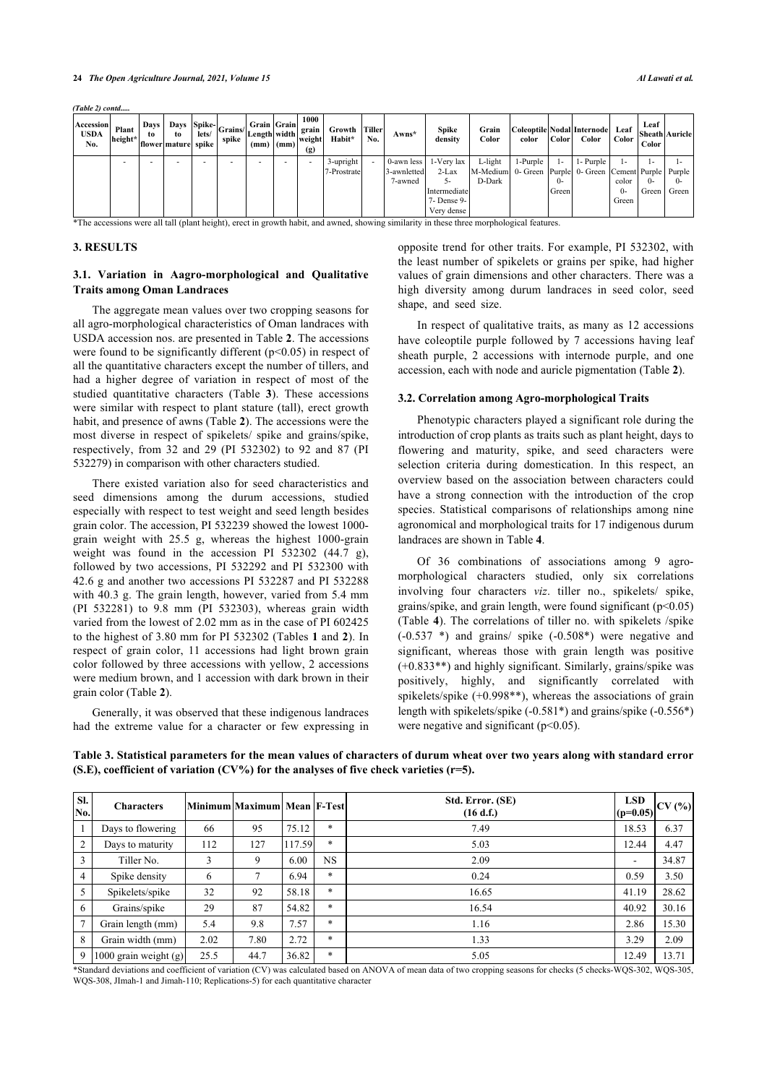*(Table 2) contd.....*

| Accession<br><b>USDA</b><br>No.                                                                                                           | Plant<br>height* | to. | to.<br> flower mature  spike | lets/ | .   Days   Days   Spike- Grains/   C<br>spike | Grain Grain<br>"" Length width grain | $(mm)$ $(mm)$ | 1000<br>weight<br>(g) | Growth Tiller<br>Habit*  | No. | $Awns*$                | <b>Spike</b><br>density                                                                              | Grain<br>Color                                                              | color       | Color                       | Coleoptile Nodal Internode<br>Color | Leaf<br>Color             | Leaf<br><b>Sheath Auricle</b><br>Color |                 |
|-------------------------------------------------------------------------------------------------------------------------------------------|------------------|-----|------------------------------|-------|-----------------------------------------------|--------------------------------------|---------------|-----------------------|--------------------------|-----|------------------------|------------------------------------------------------------------------------------------------------|-----------------------------------------------------------------------------|-------------|-----------------------------|-------------------------------------|---------------------------|----------------------------------------|-----------------|
|                                                                                                                                           |                  |     |                              |       |                                               |                                      |               |                       | 3-upright<br>7-Prostrate |     | 3-awnletted<br>7-awned | 0-awn less $\vert$ 1-Very lax<br>$2$ -Lax<br><u>. د</u><br>Intermediate<br>7- Dense 9-<br>Very dense | L-light<br>M-Medium 0- Green Purple 0- Green Cement Purple Purple<br>D-Dark | $1$ -Purple | $\mathbf{I}$<br>()<br>Green | 1- Purple 1                         | color<br>$^{0-}$<br>Green | $()$ -<br>Green                        | $(1 -$<br>Green |
| *The accessions were all tall (plant height), erect in growth habit, and awned, showing similarity in these three morphological features. |                  |     |                              |       |                                               |                                      |               |                       |                          |     |                        |                                                                                                      |                                                                             |             |                             |                                     |                           |                                        |                 |

#### **3. RESULTS**

### **3.1. Variation in Aagro-morphological and Qualitative Traits among Oman Landraces**

The aggregate mean values over two cropping seasons for all agro-morphological characteristics of Oman landraces with USDA accession nos. are presented in Table **[2](#page-2-0)**. The accessions were found to be significantly different (p<0.05) in respect of all the quantitative characters except the number of tillers, and had a higher degree of variation in respect of most of the studied quantitative characters (Table**3**). These accessions were similar with respect to plant stature (tall), erect growth habit, and presence of awns (Table **[2](#page-2-0)**). The accessions were the most diverse in respect of spikelets/ spike and grains/spike, respectively, from 32 and 29 (PI 532302) to 92 and 87 (PI 532279) in comparison with other characters studied.

There existed variation also for seed characteristics and seed dimensions among the durum accessions, studied especially with respect to test weight and seed length besides grain color. The accession, PI 532239 showed the lowest 1000 grain weight with 25.5 g, whereas the highest 1000-grain weight was found in the accession PI 532302 (44.7 g), followed by two accessions, PI 532292 and PI 532300 with 42.6 g and another two accessions PI 532287 and PI 532288 with 40.3 g. The grain length, however, varied from 5.4 mm (PI 532281) to 9.8 mm (PI 532303), whereas grain width varied from the lowest of 2.02 mm as in the case of PI 602425 to the highest of 3.80 mm for PI 532302 (Tables **[1](#page-1-0)** and **[2](#page-2-0)**). In respect of grain color, 11 accessions had light brown grain color followed by three accessions with yellow, 2 accessions were medium brown, and 1 accession with dark brown in their grain color (Table **[2](#page-2-0)**).

Generally, it was observed that these indigenous landraces had the extreme value for a character or few expressing in opposite trend for other traits. For example, PI 532302, with the least number of spikelets or grains per spike, had higher values of grain dimensions and other characters. There was a high diversity among durum landraces in seed color, seed shape, and seed size.

In respect of qualitative traits, as many as 12 accessions have coleoptile purple followed by 7 accessions having leaf sheath purple, 2 accessions with internode purple, and one accession, each with node and auricle pigmentation (Table **[2](#page-2-0)**).

#### **3.2. Correlation among Agro-morphological Traits**

Phenotypic characters played a significant role during the introduction of crop plants as traits such as plant height, days to flowering and maturity, spike, and seed characters were selection criteria during domestication. In this respect, an overview based on the association between characters could have a strong connection with the introduction of the crop species. Statistical comparisons of relationships among nine agronomical and morphological traits for 17 indigenous durum landraces are shown in Table **[4](#page-4-0)**.

Of 36 combinations of associations among 9 agromorphological characters studied, only six correlations involving four characters *viz*. tiller no., spikelets/ spike, grains/[sp](#page-4-0)ike, and grain length, were found significant  $(p<0.05)$ (Table **4**). The correlations of tiller no. with spikelets /spike (-0.537 \*) and grains/ spike (-0.508\*) were negative and significant, whereas those with grain length was positive (+0.833\*\*) and highly significant. Similarly, grains/spike was positively, highly, and significantly correlated with spikelets/spike (+0.998\*\*), whereas the associations of grain length with spikelets/spike (-0.581\*) and grains/spike (-0.556\*) were negative and significant  $(p<0.05)$ .

| SI.<br>No.     | <b>Characters</b>       |      | Minimum Maximum Mean  F-Test |        |           | Std. Error. (SE)<br>(16 d.f.) | <b>LSD</b><br>$(p=0.05)$ | CV(%) |
|----------------|-------------------------|------|------------------------------|--------|-----------|-------------------------------|--------------------------|-------|
|                | Days to flowering       | 66   | 95                           | 75.12  | *         | 7.49                          | 18.53                    | 6.37  |
| $\overline{2}$ | Days to maturity        | 112  | 127                          | 117.59 | $\ast$    | 5.03                          | 12.44                    | 4.47  |
| 3              | Tiller No.              | 3    | 9                            | 6.00   | <b>NS</b> | 2.09                          | ۰                        | 34.87 |
| $\overline{4}$ | Spike density           | 6    | 7                            | 6.94   | *         | 0.24                          | 0.59                     | 3.50  |
|                | Spikelets/spike         | 32   | 92                           | 58.18  | $\ast$    | 16.65                         | 41.19                    | 28.62 |
| 6              | Grains/spike            | 29   | 87                           | 54.82  | *         | 16.54                         | 40.92                    | 30.16 |
| $\overline{7}$ | Grain length (mm)       | 5.4  | 9.8                          | 7.57   | *         | 1.16                          | 2.86                     | 15.30 |
| 8              | Grain width (mm)        | 2.02 | 7.80                         | 2.72   | *         | 1.33                          | 3.29                     | 2.09  |
| 9              | 1000 grain weight $(g)$ | 25.5 | 44.7                         | 36.82  | $\ast$    | 5.05                          | 12.49                    | 13.71 |

<span id="page-3-0"></span>**Table 3. Statistical parameters for the mean values of characters of durum wheat over two years along with standard error (S.E), coefficient of variation (CV%) for the analyses of five check varieties (r=5).**

\*Standard deviations and coefficient of variation (CV) was calculated based on ANOVA of mean data of two cropping seasons for checks (5 checks-WQS-302, WQS-305, WQS-308, JImah-1 and Jimah-110; Replications-5) for each quantitative character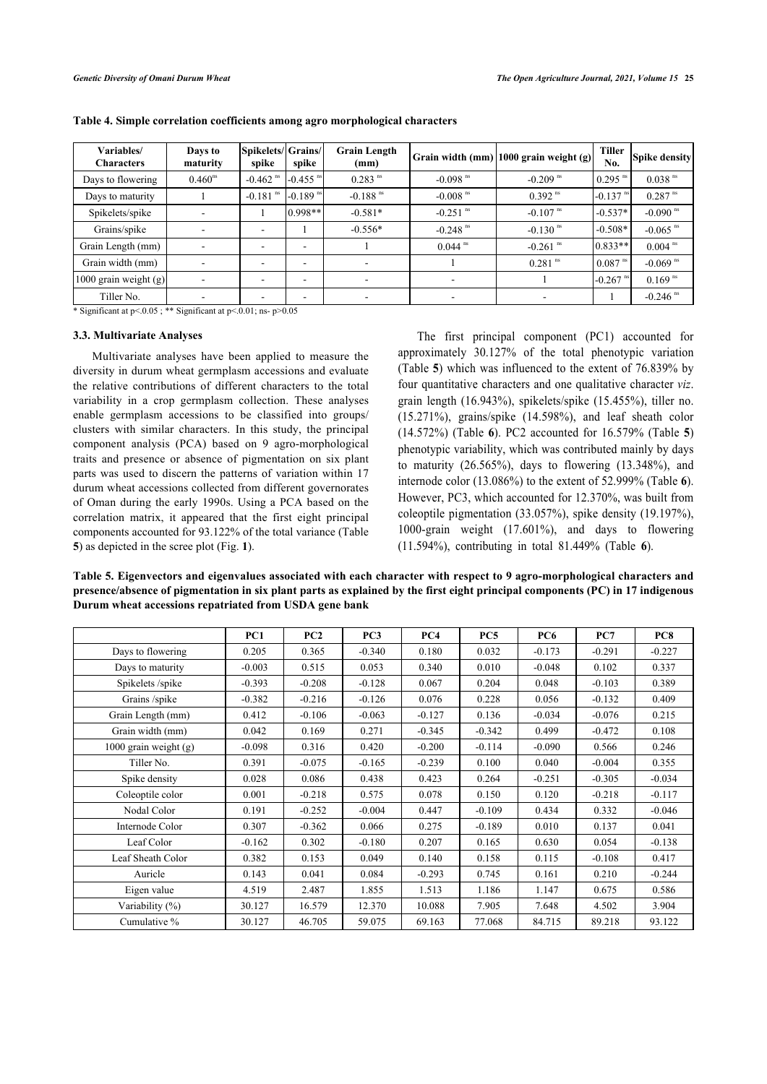| Variables/<br><b>Characters</b> | Days to<br>maturity | Spikelets/Grains/<br>spike | spike                  | <b>Grain Length</b><br>(mm) |                        | Grain width (mm) 1000 grain weight (g) | <b>Tiller</b><br>No.   | <b>Spike density</b>   |
|---------------------------------|---------------------|----------------------------|------------------------|-----------------------------|------------------------|----------------------------------------|------------------------|------------------------|
| Days to flowering               | $0.460^{ns}$        | $-0.462$ <sup>ns</sup>     | $-0.455$ <sup>ns</sup> | $0.283$ <sup>ns</sup>       | $-0.098$ <sup>ns</sup> | $-0.209$ <sup>ms</sup>                 | $10.295$ <sup>ns</sup> | $0.038$ <sup>ns</sup>  |
| Days to maturity                |                     | $-0.181$ <sup>ms</sup>     | $-0.189$ <sup>ns</sup> | $-0.188$ <sup>ns</sup>      | $-0.008$ <sup>ns</sup> | $0.392$ <sup>ns</sup>                  | $-0.137$ <sup>ns</sup> | $0.287$ <sup>ns</sup>  |
| Spikelets/spike                 |                     |                            | $0.998**$              | $-0.581*$                   | $-0.251$ <sup>ns</sup> | $-0.107$ <sup>ms</sup>                 | $-0.537*$              | $-0.090$ <sup>ms</sup> |
| Grains/spike                    |                     | $\overline{\phantom{a}}$   |                        | $-0.556*$                   | $-0.248$ <sup>ns</sup> | $-0.130$ <sup>ms</sup>                 | $-0.508*$              | $-0.065$ <sup>ns</sup> |
| Grain Length (mm)               |                     | $\overline{\phantom{a}}$   | ۰                      |                             | $0.044$ <sup>ns</sup>  | $-0.261$ <sup>ms</sup>                 | $0.833**$              | $0.004$ <sup>ns</sup>  |
| Grain width (mm)                |                     |                            | ۰                      |                             |                        | $0.281$ <sup>ns</sup>                  | $0.087$ <sup>ms</sup>  | $-0.069$ <sup>ns</sup> |
| 1000 grain weight $(g)$         |                     |                            | ۰                      |                             |                        |                                        | $-0.267$ <sup>ms</sup> | $0.169$ <sup>ns</sup>  |
| Tiller No.                      |                     |                            |                        |                             |                        |                                        |                        | $-0.246$ <sup>ns</sup> |

<span id="page-4-0"></span>**Table 4. Simple correlation coefficients among agro morphological characters**

\* Significant at  $p < 0.05$ ; \*\* Significant at  $p < 0.01$ ; ns-  $p > 0.05$ 

#### **3.3. Multivariate Analyses**

Multivariate analyses have been applied to measure the diversity in durum wheat germplasm accessions and evaluate the relative contributions of different characters to the total variability in a crop germplasm collection. These analyses enable germplasm accessions to be classified into groups/ clusters with similar characters. In this study, the principal component analysis (PCA) based on 9 agro-morphological traits and presence or absence of pigmentation on six plant parts was used to discern the patterns of variation within 17 durum wheat accessions collected from different governorates of Oman during the early 1990s. Using a PCA based on the correlation matrix, it appeared that the first eight principal components accounted for 93.122% of the total variance (Table **[5](#page-4-1)**) as depicted in the scree plot (Fig. **[1](#page-4-2)**).

The first principal component (PC1) accounted for approximately 30.127% of the total phenotypic variation (Table **[5](#page-4-1)**) which was influenced to the extent of 76.839% by four quantitative characters and one qualitative character *viz*. grain length (16.943%), spikelets/spike (15.455%), tiller no. (15.271%), grains[/s](#page-5-0)pike (14.598%), and leaf sheath col[or](#page-4-1) (14.572%) (Table **6**). PC2 accounted for 16.579% (Table **5**) phenotypic variability, which was contributed mainly by days to maturity  $(26.565\%)$ , days to flowering  $(13.348\%)$ , [an](#page-5-0)d internode color (13.086%) to the extent of 52.999% (Table **6**). However, PC3, which accounted for 12.370%, was built from coleoptile pigmentation (33.057%), spike density (19.197%), 1000-grain weight (17.601%), and days toflowering (11.594%), contributing in total 81.449% (Table **6**).

<span id="page-4-1"></span>**Table 5. Eigenvectors and eigenvalues associated with each character with respect to 9 agro-morphological characters and presence/absence of pigmentation in six plant parts as explained by the first eight principal components (PC) in 17 indigenous Durum wheat accessions repatriated from USDA gene bank**

<span id="page-4-2"></span>

|                       | PC1      | PC2      | PC <sub>3</sub> | PC4      | PC <sub>5</sub> | PC <sub>6</sub> | PC7      | PC8      |
|-----------------------|----------|----------|-----------------|----------|-----------------|-----------------|----------|----------|
| Days to flowering     | 0.205    | 0.365    | $-0.340$        | 0.180    | 0.032           | $-0.173$        | $-0.291$ | $-0.227$ |
| Days to maturity      | $-0.003$ | 0.515    | 0.053           | 0.340    | 0.010           | $-0.048$        | 0.102    | 0.337    |
| Spikelets /spike      | $-0.393$ | $-0.208$ | $-0.128$        | 0.067    | 0.204           | 0.048           | $-0.103$ | 0.389    |
| Grains /spike         | $-0.382$ | $-0.216$ | $-0.126$        | 0.076    | 0.228           | 0.056           | $-0.132$ | 0.409    |
| Grain Length (mm)     | 0.412    | $-0.106$ | $-0.063$        | $-0.127$ | 0.136           | $-0.034$        | $-0.076$ | 0.215    |
| Grain width (mm)      | 0.042    | 0.169    | 0.271           | $-0.345$ | $-0.342$        | 0.499           | $-0.472$ | 0.108    |
| 1000 grain weight (g) | $-0.098$ | 0.316    | 0.420           | $-0.200$ | $-0.114$        | $-0.090$        | 0.566    | 0.246    |
| Tiller No.            | 0.391    | $-0.075$ | $-0.165$        | $-0.239$ | 0.100           | 0.040           | $-0.004$ | 0.355    |
| Spike density         | 0.028    | 0.086    | 0.438           | 0.423    | 0.264           | $-0.251$        | $-0.305$ | $-0.034$ |
| Coleoptile color      | 0.001    | $-0.218$ | 0.575           | 0.078    | 0.150           | 0.120           | $-0.218$ | $-0.117$ |
| Nodal Color           | 0.191    | $-0.252$ | $-0.004$        | 0.447    | $-0.109$        | 0.434           | 0.332    | $-0.046$ |
| Internode Color       | 0.307    | $-0.362$ | 0.066           | 0.275    | $-0.189$        | 0.010           | 0.137    | 0.041    |
| Leaf Color            | $-0.162$ | 0.302    | $-0.180$        | 0.207    | 0.165           | 0.630           | 0.054    | $-0.138$ |
| Leaf Sheath Color     | 0.382    | 0.153    | 0.049           | 0.140    | 0.158           | 0.115           | $-0.108$ | 0.417    |
| Auricle               | 0.143    | 0.041    | 0.084           | $-0.293$ | 0.745           | 0.161           | 0.210    | $-0.244$ |
| Eigen value           | 4.519    | 2.487    | 1.855           | 1.513    | 1.186           | 1.147           | 0.675    | 0.586    |
| Variability (%)       | 30.127   | 16.579   | 12.370          | 10.088   | 7.905           | 7.648           | 4.502    | 3.904    |
| Cumulative %          | 30.127   | 46.705   | 59.075          | 69.163   | 77.068          | 84.715          | 89.218   | 93.122   |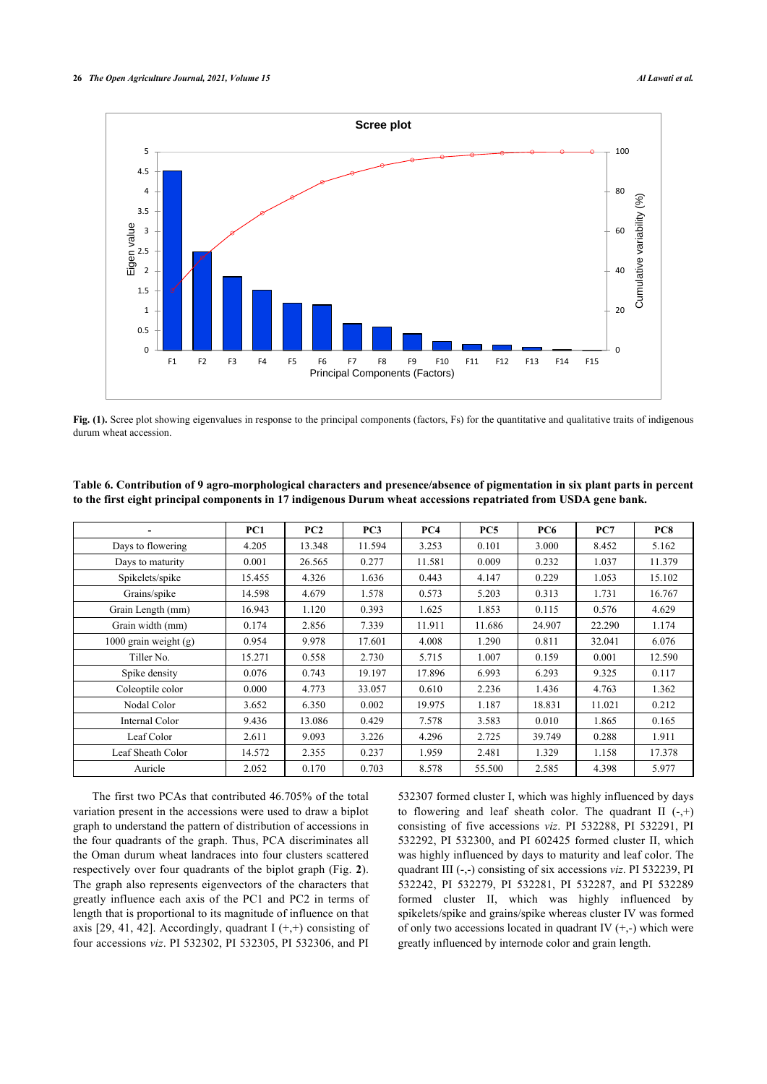

Fig. (1). Scree plot showing eigenvalues in response to the principal components (factors, Fs) for the quantitative and qualitative traits of indigenous durum wheat accession.

|                         | PC1    | PC2    | PC <sub>3</sub> | PC4    | PC <sub>5</sub> | <b>PC6</b> | PC7    | PC8    |
|-------------------------|--------|--------|-----------------|--------|-----------------|------------|--------|--------|
| Days to flowering       | 4.205  | 13.348 | 11.594          | 3.253  | 0.101           | 3.000      | 8.452  | 5.162  |
| Days to maturity        | 0.001  | 26.565 | 0.277           | 11.581 | 0.009           | 0.232      | 1.037  | 11.379 |
| Spikelets/spike         | 15.455 | 4.326  | 1.636           | 0.443  | 4.147           | 0.229      | 1.053  | 15.102 |
| Grains/spike            | 14.598 | 4.679  | 1.578           | 0.573  | 5.203           | 0.313      | 1.731  | 16.767 |
| Grain Length (mm)       | 16.943 | 1.120  | 0.393           | 1.625  | 1.853           | 0.115      | 0.576  | 4.629  |
| Grain width (mm)        | 0.174  | 2.856  | 7.339           | 11.911 | 11.686          | 24.907     | 22.290 | 1.174  |
| 1000 grain weight $(g)$ | 0.954  | 9.978  | 17.601          | 4.008  | 1.290           | 0.811      | 32.041 | 6.076  |
| Tiller No.              | 15.271 | 0.558  | 2.730           | 5.715  | 1.007           | 0.159      | 0.001  | 12.590 |
| Spike density           | 0.076  | 0.743  | 19.197          | 17.896 | 6.993           | 6.293      | 9.325  | 0.117  |
| Coleoptile color        | 0.000  | 4.773  | 33.057          | 0.610  | 2.236           | 1.436      | 4.763  | 1.362  |
| Nodal Color             | 3.652  | 6.350  | 0.002           | 19.975 | 1.187           | 18.831     | 11.021 | 0.212  |
| Internal Color          | 9.436  | 13.086 | 0.429           | 7.578  | 3.583           | 0.010      | 1.865  | 0.165  |
| Leaf Color              | 2.611  | 9.093  | 3.226           | 4.296  | 2.725           | 39.749     | 0.288  | 1.911  |
| Leaf Sheath Color       | 14.572 | 2.355  | 0.237           | 1.959  | 2.481           | 1.329      | 1.158  | 17.378 |
| Auricle                 | 2.052  | 0.170  | 0.703           | 8.578  | 55.500          | 2.585      | 4.398  | 5.977  |

<span id="page-5-0"></span>**Table 6. Contribution of 9 agro-morphological characters and presence/absence of pigmentation in six plant parts in percent to the first eight principal components in 17 indigenous Durum wheat accessions repatriated from USDA gene bank.**

<span id="page-5-1"></span>The first two PCAs that contributed 46.705% of the total variation present in the accessions were used to draw a biplot graph to understand the pattern of distribution of accessions in the four quadrants of the graph. Thus, PCA discriminates all the Oman durum wheat landraces into four clusters scattered respectively over four quadrants of the biplot graph (Fig. **[2](#page-5-1)**). The graph also represents eigenvectors of the characters that greatly influence each axis of the PC1 and PC2 in terms of length that is proportional to its magnitude of influence on that axis [[29,](#page-10-0) [41](#page-10-8), [42\]](#page-10-9). Accordingly, quadrant  $I (+,+)$  consisting of four accessions *viz*. PI 532302, PI 532305, PI 532306, and PI

532307 formed cluster I, which was highly influenced by days to flowering and leaf sheath color. The quadrant II  $(-,+)$ consisting of five accessions *viz*. PI 532288, PI 532291, PI 532292, PI 532300, and PI 602425 formed cluster II, which was highly influenced by days to maturity and leaf color. The quadrant III (-,-) consisting of six accessions *viz*. PI 532239, PI 532242, PI 532279, PI 532281, PI 532287, and PI 532289 formed cluster II, which was highly influenced by spikelets/spike and grains/spike whereas cluster IV was formed of only two accessions located in quadrant IV  $(+,-)$  which were greatly influenced by internode color and grain length.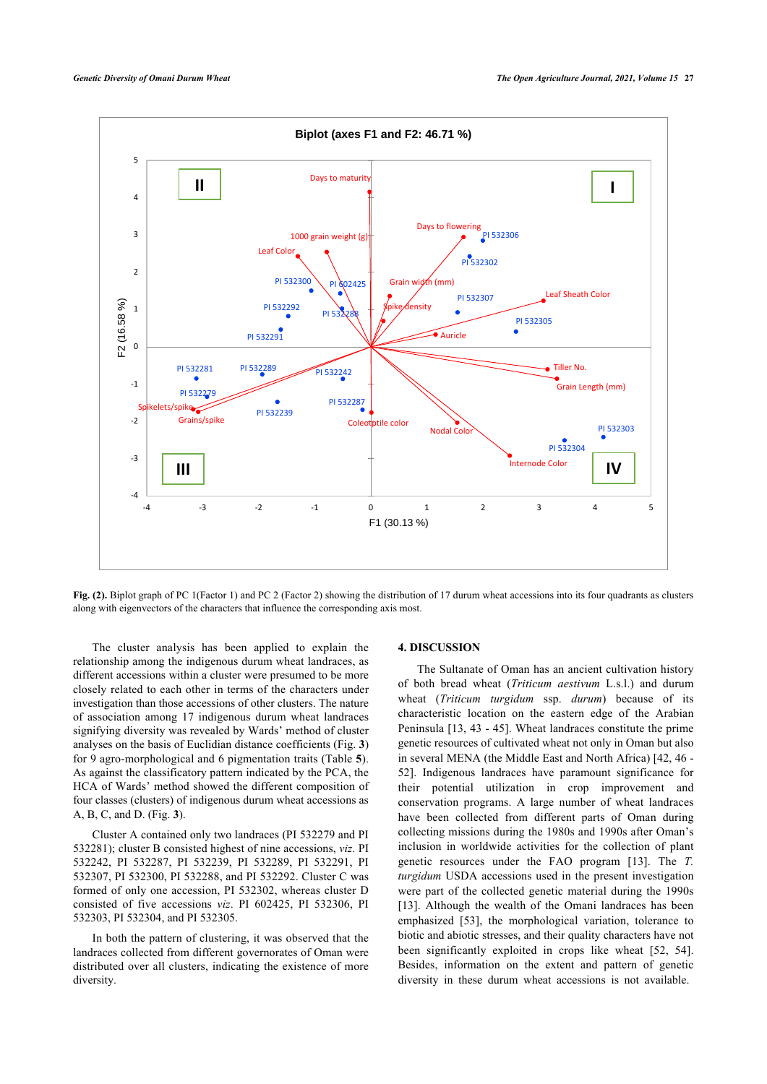

**Fig. (2).** Biplot graph of PC 1(Factor 1) and PC 2 (Factor 2) showing the distribution of 17 durum wheat accessions into its four quadrants as clusters along with eigenvectors of the characters that influence the corresponding axis most.

The cluster analysis has been applied to explain the relationship among the indigenous durum wheat landraces, as different accessions within a cluster were presumed to be more closely related to each other in terms of the characters under investigation than those accessions of other clusters. The nature of association among 17 indigenous durum wheat landraces signifying diversity was revealed by Wards' method of cluster analyses on the basis of Euclidian distance coefficients (Fig. **[3](#page-7-0)**) for 9 agro-morphological and 6 pigmentation traits (Table **[5](#page-4-1)**). As against the classificatory pattern indicated by the PCA, the HCA of Wards' method showed the different composition of four classes (clusters) of indigenous durum wheat accessions as A, B, C, and D. (Fig. **[3](#page-7-0)**).

Cluster A contained only two landraces (PI 532279 and PI 532281); cluster B consisted highest of nine accessions, *viz*. PI 532242, PI 532287, PI 532239, PI 532289, PI 532291, PI 532307, PI 532300, PI 532288, and PI 532292. Cluster C was formed of only one accession, PI 532302, whereas cluster D consisted of five accessions *viz*. PI 602425, PI 532306, PI 532303, PI 532304, and PI 532305.

In both the pattern of clustering, it was observed that the landraces collected from different governorates of Oman were distributed over all clusters, indicating the existence of more diversity.

#### **4. DISCUSSION**

The Sultanate of Oman has an ancient cultivation history of both bread wheat (*Triticum aestivum* L.s.l.) and durum wheat (*Triticum turgidum* ssp. *durum*) because of its characteristic location on the eastern edge of the Arabian Peninsula [[13,](#page-9-8) [43](#page-10-10) - [45\]](#page-10-11). Wheat landraces constitute the prime genetic resources of cultivated wheat not only in Oman but also in several MENA (the Middle East and North Africa) [\[42](#page-10-9), [46](#page-10-12) - [52](#page-10-13)]. Indigenous landraces have paramount significance for their potential utilization in crop improvement and conservation programs. A large number of wheat landraces have been collected from different parts of Oman during collecting missions during the 1980s and 1990s after Oman's inclusion in worldwide activities for the collection of plant genetic resources under the FAO program[[13\]](#page-9-8). The *T. turgidum* USDA accessions used in the present investigation were part of the collected genetic material during the 1990s [[13](#page-9-8)]. Although the wealth of the Omani landraces has been emphasized[[53](#page-10-14)], the morphological variation, tolerance to biotic and abiotic stresses, and their quality characters have not been significantly exploited in crops like wheat[[52,](#page-10-13) [54](#page-10-15)]. Besides, information on the extent and pattern of genetic diversity in these durum wheat accessions is not available.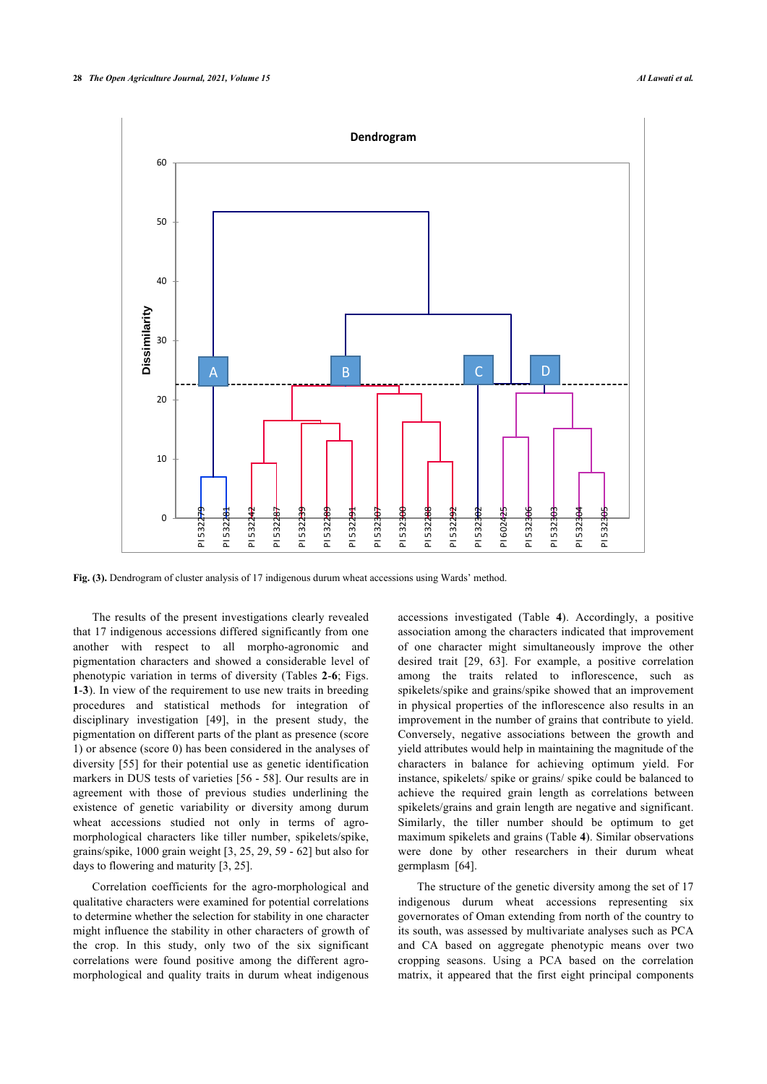<span id="page-7-0"></span>

**Fig. (3).** Dendrogram of cluster analysis of 17 indigenous durum wheat accessions using Wards' method.

The results of the present investigations clearly revealed that 17 indigenous accessions differed significantly from one another with respect to all morpho-agronomic and pigmentation characters and showed a considerable level of phenotypic variation in terms of diversity (Tables **[2](#page-2-0)**-**[6](#page-5-0)**; Figs. **[1](#page-4-2)**-**[3](#page-7-0)**). In view of the requirement to use new traits in breeding procedures and statistical methods for integration of disciplinary investigation [\[49](#page-10-16)], in the present study, the pigmentation on different parts of the plant as presence (score 1) or absence (score 0) has been considered in the analyses of diversity [\[55\]](#page-10-17) for their potential use as genetic identification markers in DUS tests of varieties [[56](#page-10-18) - [58](#page-10-19)]. Our results are in agreement with those of previous studies underlining the existence of genetic variability or diversity among durum wheat accessions studied not only in terms of agromorphological characters like tiller number, spikelets/spike, grains/spike, 1000 grain weight [[3](#page-9-2), [25](#page-9-16), [29,](#page-10-0) [59](#page-10-20) - [62](#page-10-21)] but also for days to flowering and maturity [[3](#page-9-2), [25\]](#page-9-16).

Correlation coefficients for the agro-morphological and qualitative characters were examined for potential correlations to determine whether the selection for stability in one character might influence the stability in other characters of growth of the crop. In this study, only two of the six significant correlations were found positive among the different agromorphological and quality traits in durum wheat indigenous

accessions investigated (Table**4**). Accordingly, a positive association among the characters indicated that improvement of one character might simultaneously improve the other desired trait [\[29,](#page-10-0) [63](#page-10-22)]. For example, a positive correlation among the traits related to inflorescence, such as spikelets/spike and grains/spike showed that an improvement in physical properties of the inflorescence also results in an improvement in the number of grains that contribute to yield. Conversely, negative associations between the growth and yield attributes would help in maintaining the magnitude of the characters in balance for achieving optimum yield. For instance, spikelets/ spike or grains/ spike could be balanced to achieve the required grain length as correlations between spikelets/grains and grain length are negative and significant. Similarly, the tiller number should be optimum to get maximum spikelets and grains (Table **[4](#page-4-0)**). Similar observations were done by other researchers in their durum wheat germplasm [\[64](#page-10-23)].

The structure of the genetic diversity among the set of 17 indigenous durum wheat accessions representing six governorates of Oman extending from north of the country to its south, was assessed by multivariate analyses such as PCA and CA based on aggregate phenotypic means over two cropping seasons. Using a PCA based on the correlation matrix, it appeared that the first eight principal components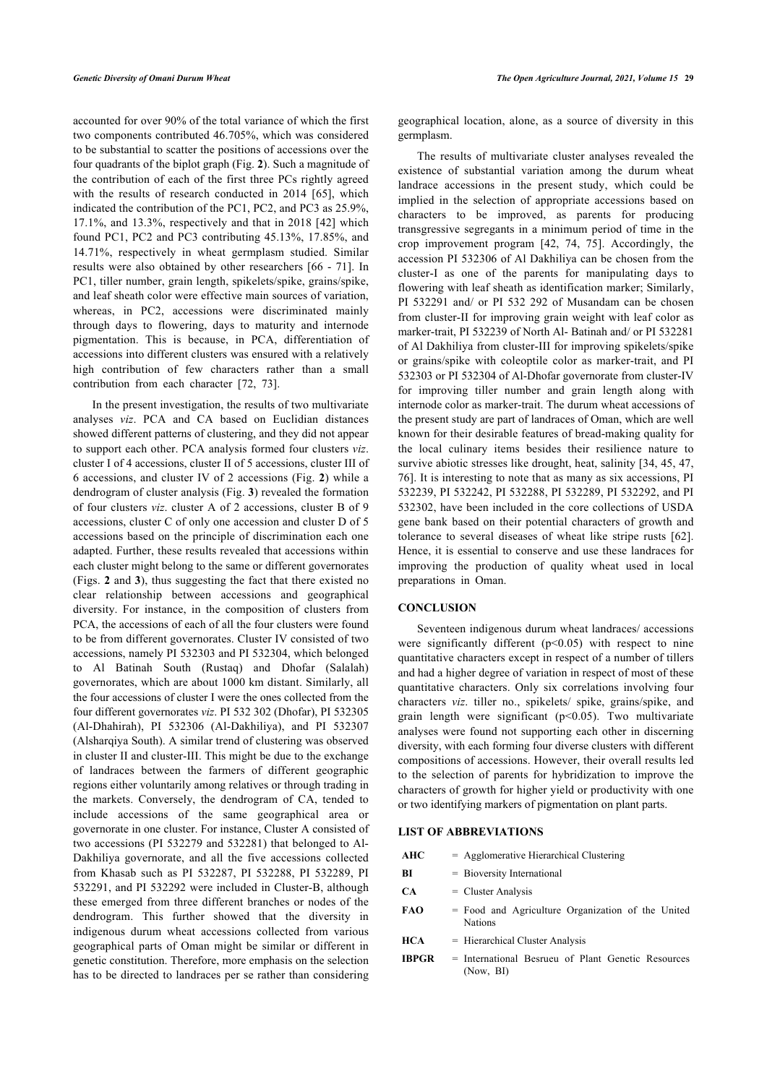accounted for over 90% of the total variance of which the first two components contributed 46.705%, which was considered to be substantial to scatter the positions of accessions over the four quadrants of the biplot graph (Fig. **[2](#page-5-1)**). Such a magnitude of the contribution of each of the first three PCs rightly agreed with the results of research conducted in 2014 [\[65\]](#page-10-24), which indicated the contribution of the PC1, PC2, and PC3 as 25.9%, 17.1%, and 13.3%, respectively and that in 2018 [\[42\]](#page-10-9) which found PC1, PC2 and PC3 contributing 45.13%, 17.85%, and 14.71%, respectively in wheat germplasm studied. Similar results were also obtained by other researchers [[66](#page-10-25) - [71\]](#page-11-0). In PC1, tiller number, grain length, spikelets/spike, grains/spike, and leaf sheath color were effective main sources of variation, whereas, in PC2, accessions were discriminated mainly through days to flowering, days to maturity and internode pigmentation. This is because, in PCA, differentiation of accessions into different clusters was ensured with a relatively high contribution of few characters rather than a small contribution from each character[[72,](#page-11-1) [73](#page-11-2)].

In the present investigation, the results of two multivariate analyses *viz*. PCA and CA based on Euclidian distances showed different patterns of clustering, and they did not appear to support each other. PCA analysis formed four clusters *viz*. cluster I of 4 accessions, cluster II of 5 accessions, cluster III of 6 accessions, and cluster IV of 2 accessions (Fig. **[2](#page-5-1)**) while a dendrogram of cluster analysis (Fig. **[3](#page-7-0)**) revealed the formation of four clusters *viz*. cluster A of 2 accessions, cluster B of 9 accessions, cluster C of only one accession and cluster D of 5 accessions based on the principle of discrimination each one adapted. Further, these results revealed that accessions within each cluster might belong to the same or different governorates (Figs. **[2](#page-5-1)** and **[3](#page-7-0)**), thus suggesting the fact that there existed no clear relationship between accessions and geographical diversity. For instance, in the composition of clusters from PCA, the accessions of each of all the four clusters were found to be from different governorates. Cluster IV consisted of two accessions, namely PI 532303 and PI 532304, which belonged to Al Batinah South (Rustaq) and Dhofar (Salalah) governorates, which are about 1000 km distant. Similarly, all the four accessions of cluster I were the ones collected from the four different governorates *viz*. PI 532 302 (Dhofar), PI 532305 (Al-Dhahirah), PI 532306 (Al-Dakhiliya), and PI 532307 (Alsharqiya South). A similar trend of clustering was observed in cluster II and cluster-III. This might be due to the exchange of landraces between the farmers of different geographic regions either voluntarily among relatives or through trading in the markets. Conversely, the dendrogram of CA, tended to include accessions of the same geographical area or governorate in one cluster. For instance, Cluster A consisted of two accessions (PI 532279 and 532281) that belonged to Al-Dakhiliya governorate, and all the five accessions collected from Khasab such as PI 532287, PI 532288, PI 532289, PI 532291, and PI 532292 were included in Cluster-B, although these emerged from three different branches or nodes of the dendrogram. This further showed that the diversity in indigenous durum wheat accessions collected from various geographical parts of Oman might be similar or different in genetic constitution. Therefore, more emphasis on the selection has to be directed to landraces per se rather than considering

geographical location, alone, as a source of diversity in this germplasm.

The results of multivariate cluster analyses revealed the existence of substantial variation among the durum wheat landrace accessions in the present study, which could be implied in the selection of appropriate accessions based on characters to be improved, as parents for producing transgressive segregants in a minimum period of time in the crop improvement program[[42,](#page-10-9) [74](#page-11-3), [75](#page-11-4)]. Accordingly, the accession PI 532306 of Al Dakhiliya can be chosen from the cluster-I as one of the parents for manipulating days to flowering with leaf sheath as identification marker; Similarly, PI 532291 and/ or PI 532 292 of Musandam can be chosen from cluster-II for improving grain weight with leaf color as marker-trait, PI 532239 of North Al- Batinah and/ or PI 532281 of Al Dakhiliya from cluster-III for improving spikelets/spike or grains/spike with coleoptile color as marker-trait, and PI 532303 or PI 532304 of Al-Dhofar governorate from cluster-IV for improving tiller number and grain length along with internode color as marker-trait. The durum wheat accessions of the present study are part of landraces of Oman, which are well known for their desirable features of bread-making quality for the local culinary items besides their resilience nature to survive abiotic stresses like drought, heat, salinity [\[34](#page-10-1), [45](#page-10-11), [47](#page-10-26), [76](#page-11-5)]. It is interesting to note that as many as six accessions, PI 532239, PI 532242, PI 532288, PI 532289, PI 532292, and PI 532302, have been included in the core collections of USDA gene bank based on their potential characters of growth and tolerance to several diseases of wheat like stripe rusts[[62](#page-10-21)]. Hence, it is essential to conserve and use these landraces for improving the production of quality wheat used in local preparations in Oman.

#### **CONCLUSION**

Seventeen indigenous durum wheat landraces/ accessions were significantly different  $(p<0.05)$  with respect to nine quantitative characters except in respect of a number of tillers and had a higher degree of variation in respect of most of these quantitative characters. Only six correlations involving four characters *viz*. tiller no., spikelets/ spike, grains/spike, and grain length were significant  $(p<0.05)$ . Two multivariate analyses were found not supporting each other in discerning diversity, with each forming four diverse clusters with different compositions of accessions. However, their overall results led to the selection of parents for hybridization to improve the characters of growth for higher yield or productivity with one or two identifying markers of pigmentation on plant parts.

### **LIST OF ABBREVIATIONS**

**AHC** = Agglomerative Hierarchical Clustering

- **BI** = Bioversity International
- **CA** = Cluster Analysis
- **FAO** = Food and Agriculture Organization of the United Nations
- **HCA** = Hierarchical Cluster Analysis
- **IBPGR** = International Besrueu of Plant Genetic Resources (Now, BI)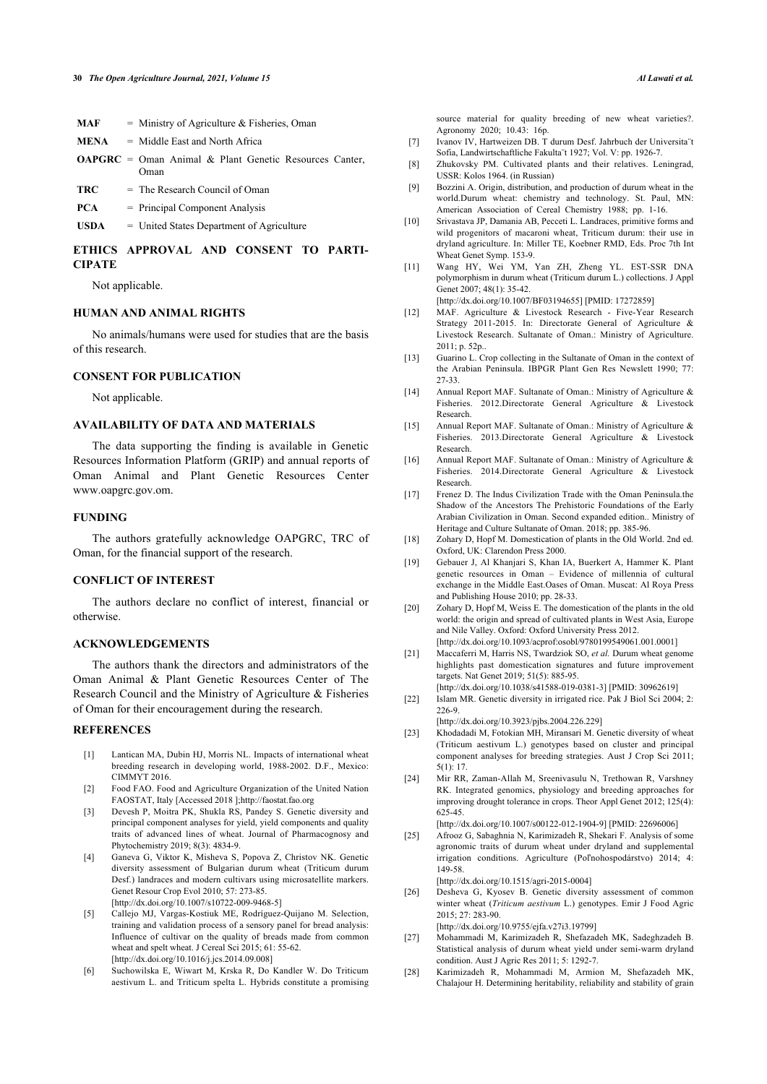<span id="page-9-5"></span>

| MAF         | $=$ Ministry of Agriculture & Fisheries, Oman                         |
|-------------|-----------------------------------------------------------------------|
| <b>MENA</b> | $=$ Middle East and North Africa                                      |
|             | <b>OAPGRC</b> = Oman Animal & Plant Genetic Resources Canter,<br>Oman |
| TRC         | $=$ The Research Council of Oman                                      |
| <b>PCA</b>  | $=$ Principal Component Analysis                                      |

**USDA** = United States Department of Agriculture

## <span id="page-9-6"></span>**ETHICS APPROVAL AND CONSENT TO PARTI-CIPATE**

Not applicable.

#### <span id="page-9-7"></span>**HUMAN AND ANIMAL RIGHTS**

No animals/humans were used for studies that are the basis of this research.

#### <span id="page-9-8"></span>**CONSENT FOR PUBLICATION**

Not applicable.

#### **AVAILABILITY OF DATA AND MATERIALS**

<span id="page-9-9"></span>The data supporting the finding is available in Genetic Resources Information Platform (GRIP) and annual reports of Oman Animal and Plant Genetic Resources Center www.oapgrc.gov.om.

#### <span id="page-9-10"></span>**FUNDING**

The authors gratefully acknowledge OAPGRC, TRC of Oman, for the financial support of the research.

#### <span id="page-9-11"></span>**CONFLICT OF INTEREST**

<span id="page-9-12"></span>The authors declare no conflict of interest, financial or otherwise.

# **ACKNOWLEDGEMENTS**

<span id="page-9-13"></span>The authors thank the directors and administrators of the Oman Animal & Plant Genetic Resources Center of The Research Council and the Ministry of Agriculture & Fisheries of Oman for their encouragement during the research.

#### <span id="page-9-14"></span><span id="page-9-0"></span>**REFERENCES**

- [1] Lantican MA, Dubin HJ, Morris NL. Impacts of international wheat breeding research in developing world, 1988-2002. D.F., Mexico: CIMMYT 2016.
- <span id="page-9-1"></span>[2] Food FAO. Food and Agriculture Organization of the United Nation FAOSTAT, Italy [Accessed 2018 ];<http://faostat.fao.org>
- <span id="page-9-2"></span>[3] Devesh P, Moitra PK, Shukla RS, Pandey S. Genetic diversity and principal component analyses for yield, yield components and quality traits of advanced lines of wheat. Journal of Pharmacognosy and Phytochemistry 2019; 8(3): 4834-9.
- <span id="page-9-16"></span><span id="page-9-3"></span>[4] Ganeva G, Viktor K, Misheva S, Popova Z, Christov NK. Genetic diversity assessment of Bulgarian durum wheat (Triticum durum Desf.) landraces and modern cultivars using microsatellite markers. Genet Resour Crop Evol 2010; 57: 273-85. [\[http://dx.doi.org/10.1007/s10722-009-9468-5](http://dx.doi.org/10.1007/s10722-009-9468-5)]
- <span id="page-9-17"></span><span id="page-9-15"></span>[5] Callejo MJ, Vargas-Kostiuk ME, Rodríguez-Quijano M. Selection, training and validation process of a sensory panel for bread analysis: Influence of cultivar on the quality of breads made from common wheat and spelt wheat. J Cereal Sci 2015; 61: 55-62. [\[http://dx.doi.org/10.1016/j.jcs.2014.09.008](http://dx.doi.org/10.1016/j.jcs.2014.09.008)]
- <span id="page-9-4"></span>[6] Suchowilska E, Wiwart M, Krska R, Do Kandler W. Do Triticum aestivum L. and Triticum spelta L. Hybrids constitute a promising

source material for quality breeding of new wheat varieties?. Agronomy 2020; 10.43: 16p.

- [7] Ivanov IV, Hartweizen DB. T durum Desf. Jahrbuch der Universita¨t Sofia, Landwirtschaftliche Fakulta¨t 1927; Vol. V: pp. 1926-7.
- [8] Zhukovsky PM. Cultivated plants and their relatives. Leningrad, USSR: Kolos 1964. (in Russian)
- [9] Bozzini A. Origin, distribution, and production of durum wheat in the world.Durum wheat: chemistry and technology. St. Paul, MN: American Association of Cereal Chemistry 1988; pp. 1-16.
- [10] Srivastava JP, Damania AB, Pecceti L. Landraces, primitive forms and wild progenitors of macaroni wheat, Triticum durum: their use in dryland agriculture. In: Miller TE, Koebner RMD, Eds. Proc 7th Int Wheat Genet Symp. 153-9.
- [11] Wang HY, Wei YM, Yan ZH, Zheng YL. EST-SSR DNA polymorphism in durum wheat (Triticum durum L.) collections. J Appl Genet 2007; 48(1): 35-42.
	- [\[http://dx.doi.org/10.1007/BF03194655](http://dx.doi.org/10.1007/BF03194655)] [PMID: [17272859\]](http://www.ncbi.nlm.nih.gov/pubmed/17272859)
- [12] MAF. Agriculture & Livestock Research Five-Year Research Strategy 2011-2015. In: Directorate General of Agriculture & Livestock Research. Sultanate of Oman.: Ministry of Agriculture. 2011; p. 52p..
- [13] Guarino L. Crop collecting in the Sultanate of Oman in the context of the Arabian Peninsula. IBPGR Plant Gen Res Newslett 1990; 77: 27-33.
- [14] Annual Report MAF. Sultanate of Oman.: Ministry of Agriculture & Fisheries. 2012.Directorate General Agriculture & Livestock Research.
- [15] Annual Report MAF. Sultanate of Oman.: Ministry of Agriculture & Fisheries. 2013.Directorate General Agriculture & Livestock Research.
- [16] Annual Report MAF. Sultanate of Oman.: Ministry of Agriculture  $\&$ Fisheries. 2014.Directorate General Agriculture & Livestock Research.
- [17] Frenez D. The Indus Civilization Trade with the Oman Peninsula.the Shadow of the Ancestors The Prehistoric Foundations of the Early Arabian Civilization in Oman. Second expanded edition.. Ministry of Heritage and Culture Sultanate of Oman. 2018; pp. 385-96.
- [18] Zohary D, Hopf M. Domestication of plants in the Old World. 2nd ed. Oxford, UK: Clarendon Press 2000.
- [19] Gebauer J, Al Khanjari S, Khan IA, Buerkert A, Hammer K. Plant genetic resources in Oman – Evidence of millennia of cultural exchange in the Middle East.Oases of Oman. Muscat: Al Roya Press and Publishing House 2010; pp. 28-33.
- [20] Zohary D, Hopf M, Weiss E. The domestication of the plants in the old world: the origin and spread of cultivated plants in West Asia, Europe and Nile Valley. Oxford: Oxford University Press 2012. [\[http://dx.doi.org/10.1093/acprof:osobl/9780199549061.001.0001\]](http://dx.doi.org/10.1093/acprof:osobl/9780199549061.001.0001)
- [21] Maccaferri M, Harris NS, Twardziok SO, *et al.* Durum wheat genome highlights past domestication signatures and future improvement targets. Nat Genet 2019; 51(5): 885-95. [\[http://dx.doi.org/10.1038/s41588-019-0381-3\]](http://dx.doi.org/10.1038/s41588-019-0381-3) [PMID: [30962619](http://www.ncbi.nlm.nih.gov/pubmed/30962619)]
- [22] Islam MR. Genetic diversity in irrigated rice. Pak J Biol Sci 2004; 2: 226-9.

[\[http://dx.doi.org/10.3923/pjbs.2004.226.229](http://dx.doi.org/10.3923/pjbs.2004.226.229)]

- [23] Khodadadi M, Fotokian MH, Miransari M. Genetic diversity of wheat (Triticum aestivum L.) genotypes based on cluster and principal component analyses for breeding strategies. Aust J Crop Sci 2011; 5(1): 17.
- [24] Mir RR, Zaman-Allah M, Sreenivasulu N, Trethowan R, Varshney RK. Integrated genomics, physiology and breeding approaches for improving drought tolerance in crops. Theor Appl Genet 2012; 125(4): 625-45.

[\[http://dx.doi.org/10.1007/s00122-012-1904-9\]](http://dx.doi.org/10.1007/s00122-012-1904-9) [PMID: [22696006](http://www.ncbi.nlm.nih.gov/pubmed/22696006)]

[25] Afrooz G, Sabaghnia N, Karimizadeh R, Shekari F. Analysis of some agronomic traits of durum wheat under dryland and supplemental irrigation conditions. Agriculture (Poľnohospodárstvo) 2014; 4: 149-58.

[\[http://dx.doi.org/10.1515/agri-2015-0004](http://dx.doi.org/10.1515/agri-2015-0004)]

[26] Desheva G, Kyosev B. Genetic diversity assessment of common winter wheat (*Triticum aestivum* L.) genotypes. Emir J Food Agric 2015; 27: 283-90.

[\[http://dx.doi.org/10.9755/ejfa.v27i3.19799\]](http://dx.doi.org/10.9755/ejfa.v27i3.19799)

- [27] Mohammadi M, Karimizadeh R, Shefazadeh MK, Sadeghzadeh B. Statistical analysis of durum wheat yield under semi-warm dryland condition. Aust J Agric Res 2011; 5: 1292-7.
- [28] Karimizadeh R, Mohammadi M, Armion M, Shefazadeh MK, Chalajour H. Determining heritability, reliability and stability of grain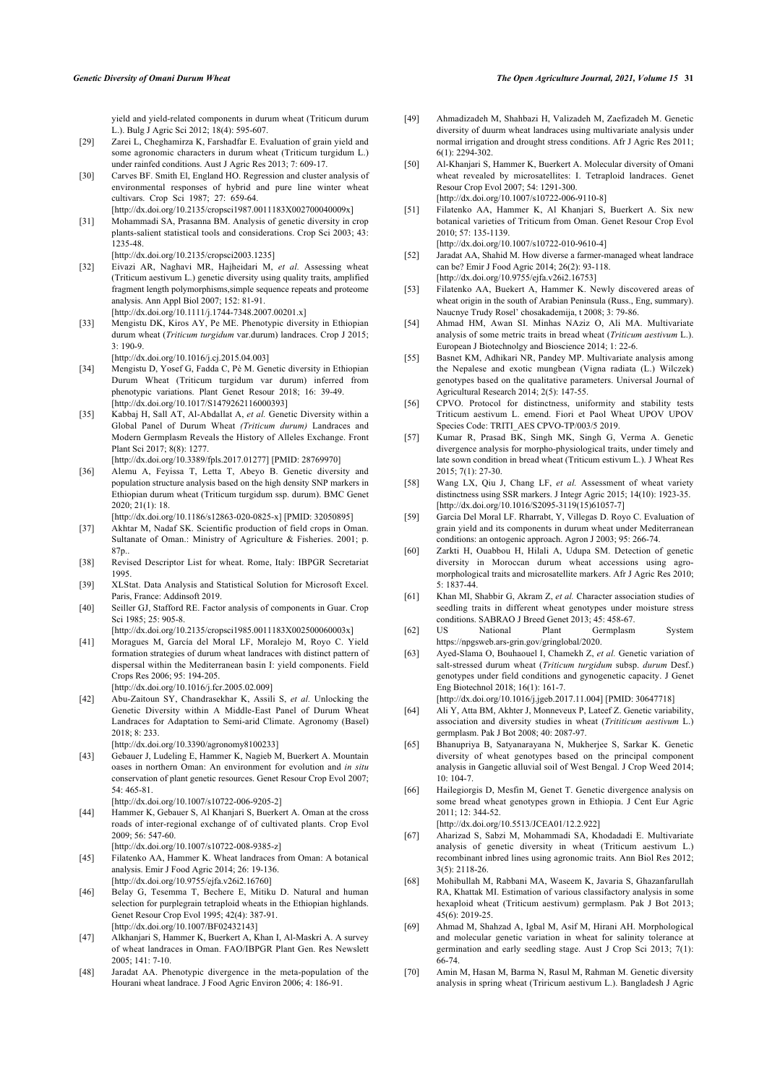yield and yield-related components in durum wheat (Triticum durum L.). Bulg J Agric Sci 2012; 18(4): 595-607.

- <span id="page-10-16"></span><span id="page-10-0"></span>[29] Zarei L, Cheghamirza K, Farshadfar E. Evaluation of grain yield and some agronomic characters in durum wheat (Triticum turgidum L.) under rainfed conditions. Aust J Agric Res 2013; 7: 609-17.
- [30] Carves BF. Smith El, England HO. Regression and cluster analysis of environmental responses of hybrid and pure line winter wheat cultivars. Crop Sci 1987; 27: 659-64. [\[http://dx.doi.org/10.2135/cropsci1987.0011183X002700040009x](http://dx.doi.org/10.2135/cropsci1987.0011183X002700040009x)]
- [31] Mohammadi SA, Prasanna BM. Analysis of genetic diversity in crop plants-salient statistical tools and considerations. Crop Sci 2003; 43: 1235-48.
- [\[http://dx.doi.org/10.2135/cropsci2003.1235](http://dx.doi.org/10.2135/cropsci2003.1235)]
- <span id="page-10-14"></span><span id="page-10-13"></span>[32] Eivazi AR, Naghavi MR, Hajheidari M, *et al.* Assessing wheat (Triticum aestivum L.) genetic diversity using quality traits, amplified fragment length polymorphisms,simple sequence repeats and proteome analysis. Ann Appl Biol 2007; 152: 81-91. [\[http://dx.doi.org/10.1111/j.1744-7348.2007.00201.x](http://dx.doi.org/10.1111/j.1744-7348.2007.00201.x)]
- <span id="page-10-15"></span>[33] Mengistu DK, Kiros AY, Pe ME. Phenotypic diversity in Ethiopian durum wheat (*Triticum turgidum* var.durum) landraces. Crop J 2015; 3: 190-9.
- [\[http://dx.doi.org/10.1016/j.cj.2015.04.003\]](http://dx.doi.org/10.1016/j.cj.2015.04.003)
- <span id="page-10-17"></span><span id="page-10-1"></span>[34] Mengistu D, Yosef G, Fadda C, Pè M. Genetic diversity in Ethiopian Durum Wheat (Triticum turgidum var durum) inferred from phenotypic variations. Plant Genet Resour 2018; 16: 39-49. [\[http://dx.doi.org/10.1017/S1479262116000393](http://dx.doi.org/10.1017/S1479262116000393)]
- <span id="page-10-18"></span><span id="page-10-2"></span>[35] Kabbaj H, Sall AT, Al-Abdallat A, et al. Genetic Diversity within a Global Panel of Durum Wheat *(Triticum durum)* Landraces and Modern Germplasm Reveals the History of Alleles Exchange. Front Plant Sci 2017; 8(8): 1277. [\[http://dx.doi.org/10.3389/fpls.2017.01277\]](http://dx.doi.org/10.3389/fpls.2017.01277) [PMID: [28769970](http://www.ncbi.nlm.nih.gov/pubmed/28769970)]
- <span id="page-10-19"></span><span id="page-10-3"></span>[36] Alemu A, Feyissa T, Letta T, Abeyo B. Genetic diversity and population structure analysis based on the high density SNP markers in Ethiopian durum wheat (Triticum turgidum ssp. durum). BMC Genet 2020; 21(1): 18.
- [\[http://dx.doi.org/10.1186/s12863-020-0825-x](http://dx.doi.org/10.1186/s12863-020-0825-x)] [PMID: [32050895\]](http://www.ncbi.nlm.nih.gov/pubmed/32050895)
- <span id="page-10-20"></span><span id="page-10-4"></span>[37] Akhtar M, Nadaf SK. Scientific production of field crops in Oman. Sultanate of Oman.: Ministry of Agriculture & Fisheries. 2001: p. 87p..
- <span id="page-10-5"></span>[38] Revised Descriptor List for wheat. Rome, Italy: IBPGR Secretariat 1995.
- <span id="page-10-6"></span>[39] XLStat. Data Analysis and Statistical Solution for Microsoft Excel. Paris, France: Addinsoft 2019.
- <span id="page-10-7"></span>[40] Seiller GJ, Stafford RE. Factor analysis of components in Guar. Crop Sci 1985; 25: 905-8.
- <span id="page-10-22"></span><span id="page-10-21"></span><span id="page-10-8"></span>[\[http://dx.doi.org/10.2135/cropsci1985.0011183X002500060003x](http://dx.doi.org/10.2135/cropsci1985.0011183X002500060003x)] [41] Moragues M, García del Moral LF, Moralejo M, Royo C. Yield formation strategies of durum wheat landraces with distinct pattern of dispersal within the Mediterranean basin I: yield components. Field Crops Res 2006; 95: 194-205.
	- [\[http://dx.doi.org/10.1016/j.fcr.2005.02.009](http://dx.doi.org/10.1016/j.fcr.2005.02.009)]
- <span id="page-10-23"></span><span id="page-10-9"></span>[42] Abu-Zaitoun SY, Chandrasekhar K, Assili S, *et al.* Unlocking the Genetic Diversity within A Middle-East Panel of Durum Wheat Landraces for Adaptation to Semi-arid Climate. Agronomy (Basel) 2018; 8: 233.
	- [\[http://dx.doi.org/10.3390/agronomy8100233](http://dx.doi.org/10.3390/agronomy8100233)]
- <span id="page-10-24"></span><span id="page-10-10"></span>[43] Gebauer J, Ludeling E, Hammer K, Nagieb M, Buerkert A. Mountain oases in northern Oman: An environment for evolution and *in situ* conservation of plant genetic resources. Genet Resour Crop Evol 2007; 54: 465-81.
	- [\[http://dx.doi.org/10.1007/s10722-006-9205-2](http://dx.doi.org/10.1007/s10722-006-9205-2)]
- <span id="page-10-25"></span>[44] Hammer K, Gebauer S, Al Khanjari S, Buerkert A. Oman at the cross roads of inter-regional exchange of of cultivated plants. Crop Evol 2009; 56: 547-60. [\[http://dx.doi.org/10.1007/s10722-008-9385-z\]](http://dx.doi.org/10.1007/s10722-008-9385-z)
- <span id="page-10-11"></span>[45] Filatenko AA, Hammer K. Wheat landraces from Oman: A botanical analysis. Emir J Food Agric 2014; 26: 19-136. [\[http://dx.doi.org/10.9755/ejfa.v26i2.16760\]](http://dx.doi.org/10.9755/ejfa.v26i2.16760)
- <span id="page-10-12"></span>[46] Belay G, Tesemma T, Bechere E, Mitiku D. Natural and human selection for purplegrain tetraploid wheats in the Ethiopian highlands. Genet Resour Crop Evol 1995; 42(4): 387-91. [\[http://dx.doi.org/10.1007/BF02432143\]](http://dx.doi.org/10.1007/BF02432143)
- <span id="page-10-26"></span>[47] Alkhanjari S, Hammer K, Buerkert A, Khan I, Al-Maskri A. A survey of wheat landraces in Oman. FAO/IBPGR Plant Gen. Res Newslett 2005; 141: 7-10.
- [48] Jaradat AA. Phenotypic divergence in the meta-population of the Hourani wheat landrace. J Food Agric Environ 2006; 4: 186-91.
- [49] Ahmadizadeh M, Shahbazi H, Valizadeh M, Zaefizadeh M. Genetic diversity of duurm wheat landraces using multivariate analysis under normal irrigation and drought stress conditions. Afr J Agric Res 2011; 6(1): 2294-302.
- [50] Al-Khanjari S, Hammer K, Buerkert A. Molecular diversity of Omani wheat revealed by microsatellites: I. Tetraploid landraces. Genet Resour Crop Evol 2007; 54: 1291-300. [\[http://dx.doi.org/10.1007/s10722-006-9110-8\]](http://dx.doi.org/10.1007/s10722-006-9110-8)
- [51] Filatenko AA, Hammer K, Al Khanjari S, Buerkert A. Six new botanical varieties of Triticum from Oman. Genet Resour Crop Evol
	- 2010; 57: 135-1139. [\[http://dx.doi.org/10.1007/s10722-010-9610-4\]](http://dx.doi.org/10.1007/s10722-010-9610-4)
- [52] Jaradat AA, Shahid M. How diverse a farmer-managed wheat landrace can be? Emir J Food Agric 2014; 26(2): 93-118.
- [\[http://dx.doi.org/10.9755/ejfa.v26i2.16753\]](http://dx.doi.org/10.9755/ejfa.v26i2.16753) [53] Filatenko AA, Buekert A, Hammer K. Newly discovered areas of wheat origin in the south of Arabian Peninsula (Russ., Eng, summary).
- Naucnye Trudy Rosel' chosakademija, t 2008; 3: 79-86. [54] Ahmad HM, Awan SI. Minhas NAziz O, Ali MA. Multivariate
- analysis of some metric traits in bread wheat (*Triticum aestivum* L.). European J Biotechnolgy and Bioscience 2014; 1: 22-6.
- [55] Basnet KM, Adhikari NR, Pandey MP. Multivariate analysis among the Nepalese and exotic mungbean (Vigna radiata (L.) Wilczek) genotypes based on the qualitative parameters. Universal Journal of Agricultural Research 2014; 2(5): 147-55.
- [56] CPVO. Protocol for distinctness, uniformity and stability tests Triticum aestivum L. emend. Fiori et Paol Wheat UPOV UPOV Species Code: TRITI\_AES CPVO-TP/003/5 2019.
- [57] Kumar R, Prasad BK, Singh MK, Singh G, Verma A. Genetic divergence analysis for morpho-physiological traits, under timely and late sown condition in bread wheat (Triticum estivum L.). J Wheat Res 2015; 7(1): 27-30.
- [58] Wang LX, Qiu J, Chang LF, et al. Assessment of wheat variety distinctness using SSR markers. J Integr Agric 2015; 14(10): 1923-35. [\[http://dx.doi.org/10.1016/S2095-3119\(15\)61057-7\]](http://dx.doi.org/10.1016/S2095-3119(15)61057-7)
- [59] Garcia Del Moral LF. Rharrabt, Y, Villegas D. Royo C. Evaluation of grain yield and its components in durum wheat under Mediterranean conditions: an ontogenic approach. Agron J 2003; 95: 266-74.
- [60] Zarkti H, Ouabbou H, Hilali A, Udupa SM. Detection of genetic diversity in Moroccan durum wheat accessions using agromorphological traits and microsatellite markers. Afr J Agric Res 2010; 5: 1837-44.
- [61] Khan MI, Shabbir G, Akram Z, *et al.* Character association studies of seedling traits in different wheat genotypes under moisture stress conditions. SABRAO J Breed Genet 2013; 45: 458-67.
- [62] US National Plant Germplasm System [https://npgsweb.ars-grin.gov/gringlobal/2](https://npgsweb.ars-grin.gov/gringlobal/)020.
- [63] Ayed-Slama O, Bouhaouel I, Chamekh Z, *et al.* Genetic variation of salt-stressed durum wheat (*Triticum turgidum* subsp. *durum* Desf.) genotypes under field conditions and gynogenetic capacity. J Genet Eng Biotechnol 2018; 16(1): 161-7. [\[http://dx.doi.org/10.1016/j.jgeb.2017.11.004\]](http://dx.doi.org/10.1016/j.jgeb.2017.11.004) [PMID: [30647718\]](http://www.ncbi.nlm.nih.gov/pubmed/30647718)
- [64] Ali Y, Atta BM, Akhter J, Monneveux P, Lateef Z. Genetic variability,
- association and diversity studies in wheat (*Trititicum aestivum* L.) germplasm. Pak J Bot 2008; 40: 2087-97.
- [65] Bhanupriya B, Satyanarayana N, Mukherjee S, Sarkar K. Genetic diversity of wheat genotypes based on the principal component analysis in Gangetic alluvial soil of West Bengal. J Crop Weed 2014; 10: 104-7.
- [66] Hailegiorgis D, Mesfin M, Genet T. Genetic divergence analysis on some bread wheat genotypes grown in Ethiopia. J Cent Eur Agric 2011; 12: 344-52.

[\[http://dx.doi.org/10.5513/JCEA01/12.2.922\]](http://dx.doi.org/10.5513/JCEA01/12.2.922)

- [67] Aharizad S, Sabzi M, Mohammadi SA, Khodadadi E. Multivariate analysis of genetic diversity in wheat (Triticum aestivum L.) recombinant inbred lines using agronomic traits. Ann Biol Res 2012; 3(5): 2118-26.
- [68] Mohibullah M, Rabbani MA, Waseem K, Javaria S, Ghazanfarullah RA, Khattak MI. Estimation of various classifactory analysis in some hexaploid wheat (Triticum aestivum) germplasm. Pak J Bot 2013; 45(6): 2019-25.
- [69] Ahmad M, Shahzad A, Igbal M, Asif M, Hirani AH. Morphological and molecular genetic variation in wheat for salinity tolerance at germination and early seedling stage. Aust J Crop Sci 2013; 7(1): 66-74.
- [70] Amin M, Hasan M, Barma N, Rasul M, Rahman M. Genetic diversity analysis in spring wheat (Triricum aestivum L.). Bangladesh J Agric